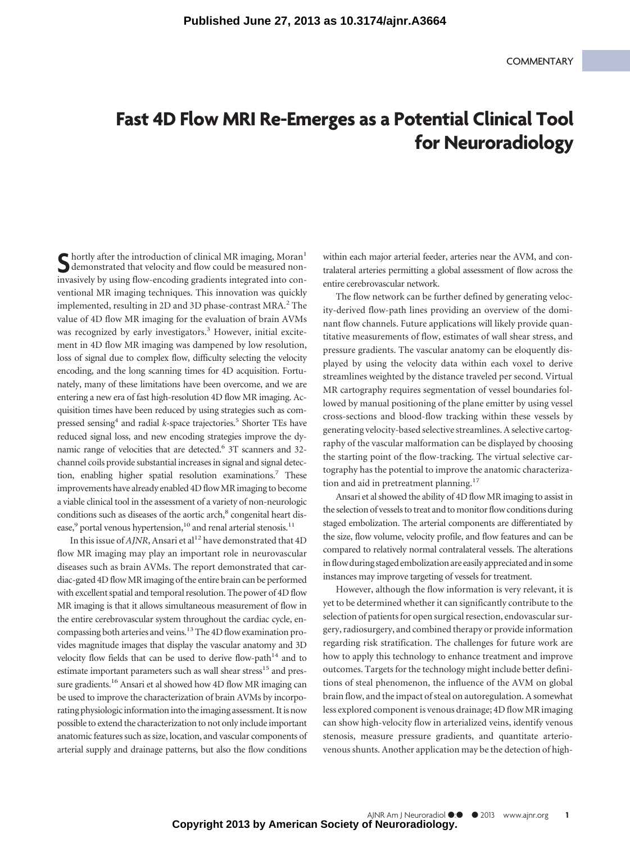## **Fast 4D Flow MRI Re-Emerges as a Potential Clinical Tool for Neuroradiology**

Shortly after the introduction of clinical MR imaging, Moran<sup>1</sup><br>demonstrated that velocity and flow could be measured non-<br>invariable by using flow an acting gradients integrated into son invasively by using flow-encoding gradients integrated into conventional MR imaging techniques. This innovation was quickly implemented, resulting in 2D and 3D phase-contrast MRA.<sup>2</sup> The value of 4D flow MR imaging for the evaluation of brain AVMs was recognized by early investigators.<sup>3</sup> However, initial excitement in 4D flow MR imaging was dampened by low resolution, loss of signal due to complex flow, difficulty selecting the velocity encoding, and the long scanning times for 4D acquisition. Fortunately, many of these limitations have been overcome, and we are entering a new era of fast high-resolution 4D flow MR imaging. Acquisition times have been reduced by using strategies such as compressed sensing<sup>4</sup> and radial *k*-space trajectories.<sup>5</sup> Shorter TEs have reduced signal loss, and new encoding strategies improve the dynamic range of velocities that are detected.<sup>6</sup> 3T scanners and 32channel coils provide substantial increases in signal and signal detection, enabling higher spatial resolution examinations.<sup>7</sup> These improvements have already enabled 4D flow MR imaging to become a viable clinical tool in the assessment of a variety of non-neurologic conditions such as diseases of the aortic arch,<sup>8</sup> congenital heart disease, $9$  portal venous hypertension, $10$  and renal arterial stenosis.<sup>11</sup>

In this issue of *AJNR*, Ansari et al<sup>12</sup> have demonstrated that 4D flow MR imaging may play an important role in neurovascular diseases such as brain AVMs. The report demonstrated that cardiac-gated 4D flow MR imaging of the entire brain can be performed with excellent spatial and temporal resolution. The power of 4D flow MR imaging is that it allows simultaneous measurement of flow in the entire cerebrovascular system throughout the cardiac cycle, encompassing both arteries and veins.<sup>13</sup> The 4D flow examination provides magnitude images that display the vascular anatomy and 3D velocity flow fields that can be used to derive flow-path<sup>14</sup> and to estimate important parameters such as wall shear stress<sup>15</sup> and pressure gradients.<sup>16</sup> Ansari et al showed how 4D flow MR imaging can be used to improve the characterization of brain AVMs by incorporating physiologic information into the imaging assessment. It is now possible to extend the characterization to not only include important anatomic features such as size, location, and vascular components of arterial supply and drainage patterns, but also the flow conditions

within each major arterial feeder, arteries near the AVM, and contralateral arteries permitting a global assessment of flow across the entire cerebrovascular network.

The flow network can be further defined by generating velocity-derived flow-path lines providing an overview of the dominant flow channels. Future applications will likely provide quantitative measurements of flow, estimates of wall shear stress, and pressure gradients. The vascular anatomy can be eloquently displayed by using the velocity data within each voxel to derive streamlines weighted by the distance traveled per second. Virtual MR cartography requires segmentation of vessel boundaries followed by manual positioning of the plane emitter by using vessel cross-sections and blood-flow tracking within these vessels by generating velocity-based selective streamlines. A selective cartography of the vascular malformation can be displayed by choosing the starting point of the flow-tracking. The virtual selective cartography has the potential to improve the anatomic characterization and aid in pretreatment planning.<sup>17</sup>

Ansari et al showed the ability of 4D flow MR imaging to assist in the selection of vessels to treat and to monitor flow conditions during staged embolization. The arterial components are differentiated by the size, flow volume, velocity profile, and flow features and can be compared to relatively normal contralateral vessels. The alterations in flow during staged embolization are easily appreciated and in some instances may improve targeting of vessels for treatment.

However, although the flow information is very relevant, it is yet to be determined whether it can significantly contribute to the selection of patients for open surgical resection, endovascular surgery, radiosurgery, and combined therapy or provide information regarding risk stratification. The challenges for future work are how to apply this technology to enhance treatment and improve outcomes. Targets for the technology might include better definitions of steal phenomenon, the influence of the AVM on global brain flow, and the impact of steal on autoregulation. A somewhat less explored component is venous drainage; 4D flow MR imaging can show high-velocity flow in arterialized veins, identify venous stenosis, measure pressure gradients, and quantitate arteriovenous shunts. Another application may be the detection of high